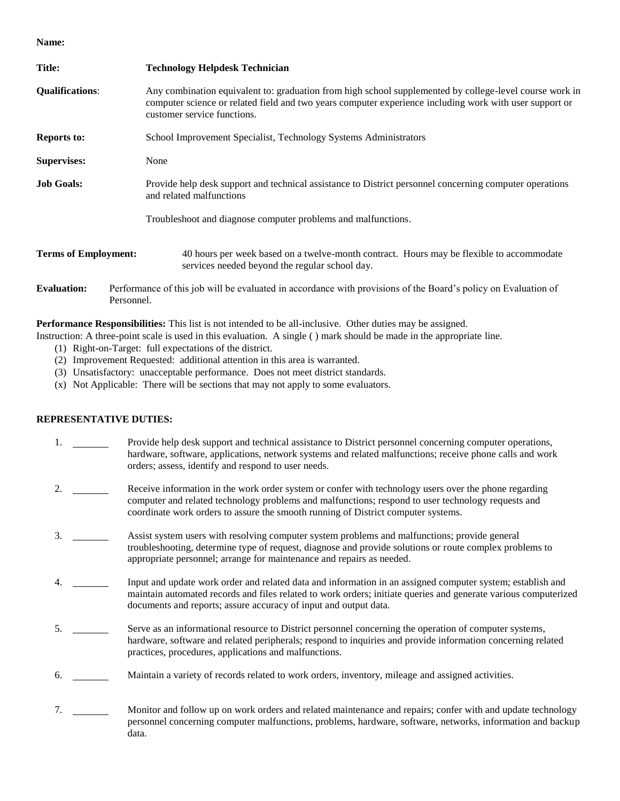**Name:**

| <b>Title:</b>               | <b>Technology Helpdesk Technician</b>                                                                                                                                                                                                             |  |  |  |  |
|-----------------------------|---------------------------------------------------------------------------------------------------------------------------------------------------------------------------------------------------------------------------------------------------|--|--|--|--|
| <b>Qualifications:</b>      | Any combination equivalent to: graduation from high school supplemented by college-level course work in<br>computer science or related field and two years computer experience including work with user support or<br>customer service functions. |  |  |  |  |
| <b>Reports to:</b>          | School Improvement Specialist, Technology Systems Administrators                                                                                                                                                                                  |  |  |  |  |
| <b>Supervises:</b>          | None                                                                                                                                                                                                                                              |  |  |  |  |
| <b>Job Goals:</b>           | Provide help desk support and technical assistance to District personnel concerning computer operations<br>and related malfunctions                                                                                                               |  |  |  |  |
|                             | Troubleshoot and diagnose computer problems and malfunctions.                                                                                                                                                                                     |  |  |  |  |
| <b>Terms of Employment:</b> | 40 hours per week based on a twelve-month contract. Hours may be flexible to accommodate<br>services needed beyond the regular school day.                                                                                                        |  |  |  |  |
| <b>Evaluation:</b>          | Performance of this job will be evaluated in accordance with provisions of the Board's policy on Evaluation of<br>Personnel.                                                                                                                      |  |  |  |  |

**Performance Responsibilities:** This list is not intended to be all-inclusive. Other duties may be assigned.

Instruction: A three-point scale is used in this evaluation. A single ( ) mark should be made in the appropriate line.

- (1) Right-on-Target: full expectations of the district.
- (2) Improvement Requested: additional attention in this area is warranted.
- (3) Unsatisfactory: unacceptable performance. Does not meet district standards.
- (x) Not Applicable: There will be sections that may not apply to some evaluators.

## **REPRESENTATIVE DUTIES:**

| 1.  | Provide help desk support and technical assistance to District personnel concerning computer operations,<br>hardware, software, applications, network systems and related malfunctions; receive phone calls and work<br>orders; assess, identify and respond to user needs.                       |
|-----|---------------------------------------------------------------------------------------------------------------------------------------------------------------------------------------------------------------------------------------------------------------------------------------------------|
| 2.  | Receive information in the work order system or confer with technology users over the phone regarding<br>computer and related technology problems and malfunctions; respond to user technology requests and<br>coordinate work orders to assure the smooth running of District computer systems.  |
| 3.  | Assist system users with resolving computer system problems and malfunctions; provide general<br>troubleshooting, determine type of request, diagnose and provide solutions or route complex problems to<br>appropriate personnel; arrange for maintenance and repairs as needed.                 |
| 4.  | Input and update work order and related data and information in an assigned computer system; establish and<br>maintain automated records and files related to work orders; initiate queries and generate various computerized<br>documents and reports; assure accuracy of input and output data. |
| .5. | Serve as an informational resource to District personnel concerning the operation of computer systems,<br>hardware, software and related peripherals; respond to inquiries and provide information concerning related<br>practices, procedures, applications and malfunctions.                    |
| 6.  | Maintain a variety of records related to work orders, inventory, mileage and assigned activities.                                                                                                                                                                                                 |
| 7.  | Monitor and follow up on work orders and related maintenance and repairs; confer with and update technology<br>personnel concerning computer malfunctions, problems, hardware, software, networks, information and backup<br>data.                                                                |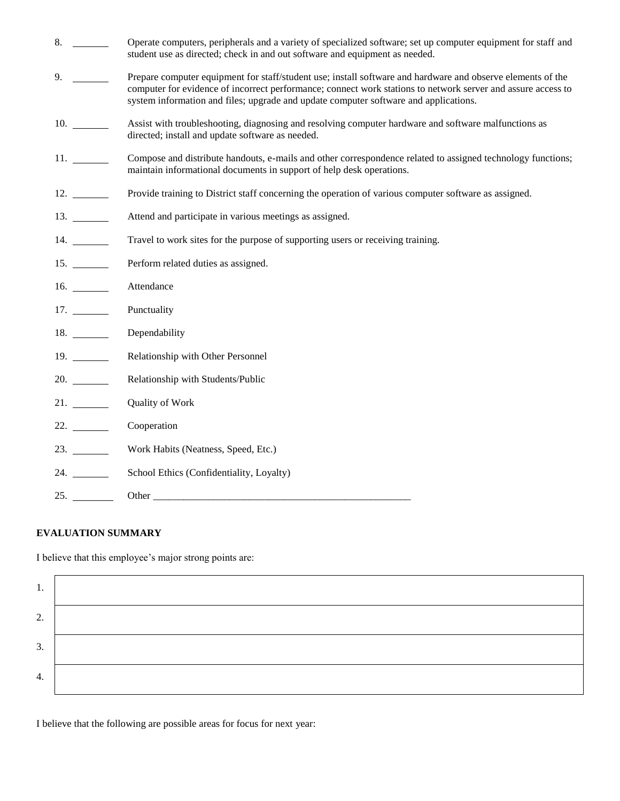| 8.       | Operate computers, peripherals and a variety of specialized software; set up computer equipment for staff and<br>student use as directed; check in and out software and equipment as needed.                                                                                                                        |
|----------|---------------------------------------------------------------------------------------------------------------------------------------------------------------------------------------------------------------------------------------------------------------------------------------------------------------------|
| 9.       | Prepare computer equipment for staff/student use; install software and hardware and observe elements of the<br>computer for evidence of incorrect performance; connect work stations to network server and assure access to<br>system information and files; upgrade and update computer software and applications. |
|          | Assist with troubleshooting, diagnosing and resolving computer hardware and software malfunctions as<br>directed; install and update software as needed.                                                                                                                                                            |
|          | Compose and distribute handouts, e-mails and other correspondence related to assigned technology functions;<br>maintain informational documents in support of help desk operations.                                                                                                                                 |
| $12. \_$ | Provide training to District staff concerning the operation of various computer software as assigned.                                                                                                                                                                                                               |
|          | Attend and participate in various meetings as assigned.                                                                                                                                                                                                                                                             |
| 14.      | Travel to work sites for the purpose of supporting users or receiving training.                                                                                                                                                                                                                                     |
| 15.      | Perform related duties as assigned.                                                                                                                                                                                                                                                                                 |
|          | Attendance                                                                                                                                                                                                                                                                                                          |
|          | Punctuality                                                                                                                                                                                                                                                                                                         |
|          | Dependability                                                                                                                                                                                                                                                                                                       |
| 19.      | Relationship with Other Personnel                                                                                                                                                                                                                                                                                   |
| 20.      | Relationship with Students/Public                                                                                                                                                                                                                                                                                   |
| 21.      | Quality of Work                                                                                                                                                                                                                                                                                                     |
| 22.      | Cooperation                                                                                                                                                                                                                                                                                                         |
|          | Work Habits (Neatness, Speed, Etc.)                                                                                                                                                                                                                                                                                 |
|          | School Ethics (Confidentiality, Loyalty)                                                                                                                                                                                                                                                                            |
| 25.      | Other                                                                                                                                                                                                                                                                                                               |

## **EVALUATION SUMMARY**

I believe that this employee's major strong points are:

| ι. |  |
|----|--|
| 2. |  |
| 3. |  |
| 4. |  |

I believe that the following are possible areas for focus for next year: